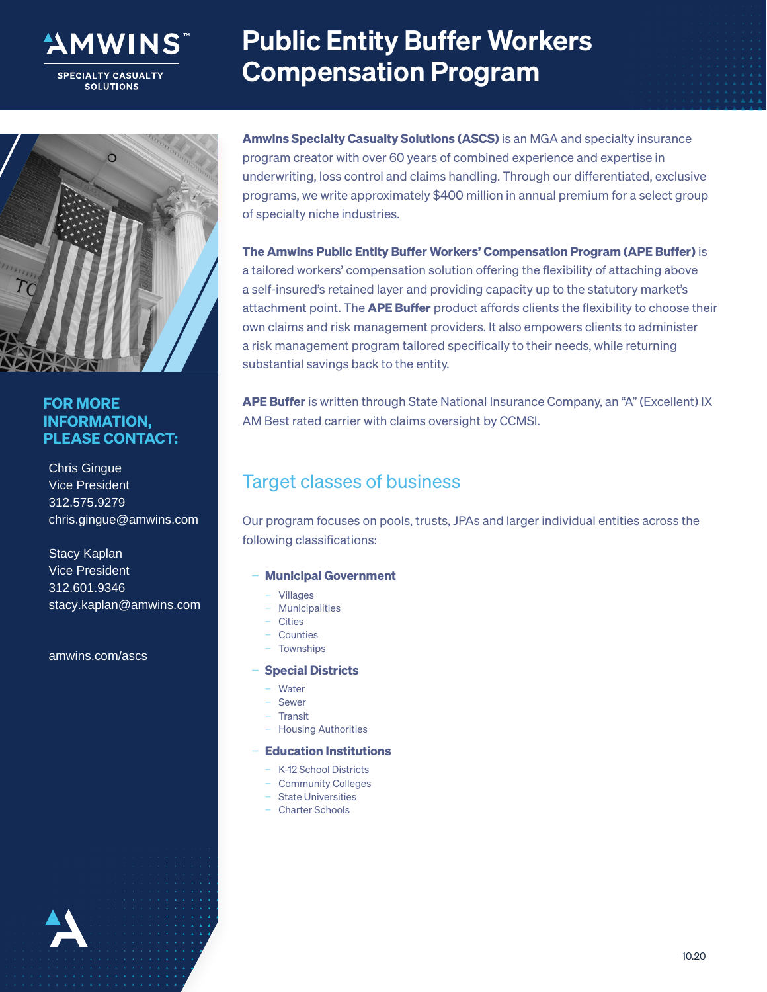

**SPECIALTY CASUALTY SOLUTIONS** 

# Public Entity Buffer Workers Compensation Program



#### FOR MORE INFORMATION, PLEASE CONTACT:

Chris Gingue Vice President 312.575.9279 chris.gingue@amwins.com

Stacy Kaplan Vice President 312.601.9346 stacy.kaplan@amwins.com

amwins.com/ascs

Amwins Specialty Casualty Solutions (ASCS) is an MGA and specialty insurance program creator with over 60 years of combined experience and expertise in underwriting, loss control and claims handling. Through our differentiated, exclusive programs, we write approximately \$400 million in annual premium for a select group of specialty niche industries.

The Amwins Public Entity Buffer Workers' Compensation Program (APE Buffer) is a tailored workers' compensation solution offering the flexibility of attaching above a self-insured's retained layer and providing capacity up to the statutory market's attachment point. The **APE Buffer** product affords clients the flexibility to choose their own claims and risk management providers. It also empowers clients to administer a risk management program tailored specifically to their needs, while returning substantial savings back to the entity.

APE Buffer is written through State National Insurance Company, an "A" (Excellent) IX AM Best rated carrier with claims oversight by CCMSI.

# Target classes of business

Our program focuses on pools, trusts, JPAs and larger individual entities across the following classifications:

#### − Municipal Government

- − Villages
- − Municipalities
- − Cities
- − Counties
- − Townships

#### − Special Districts

- − Water
- − Sewer
- − Transit
- − Housing Authorities

#### − Education Institutions

- − K-12 School Districts
- − Community Colleges
- − State Universities
- − Charter Schools